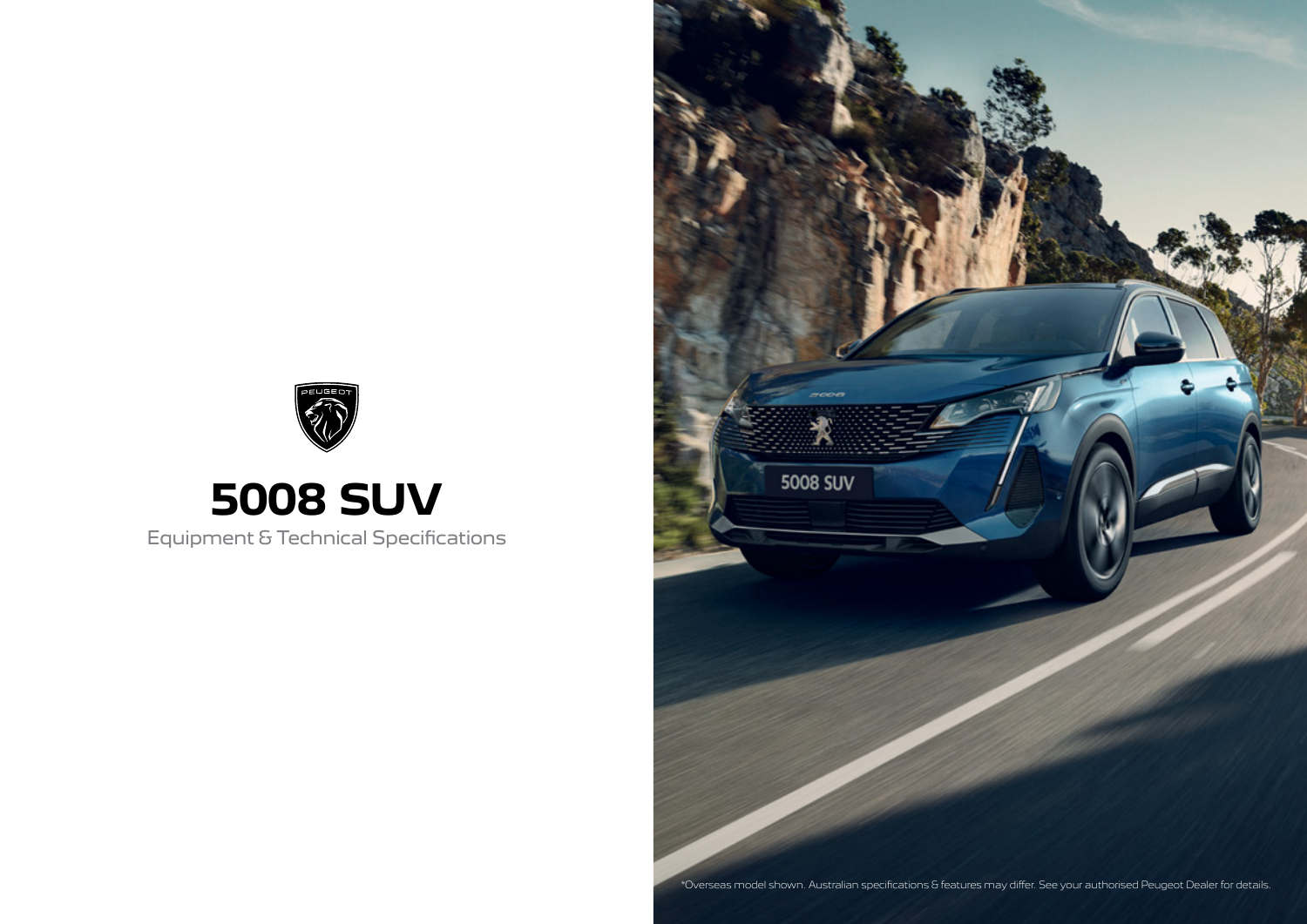



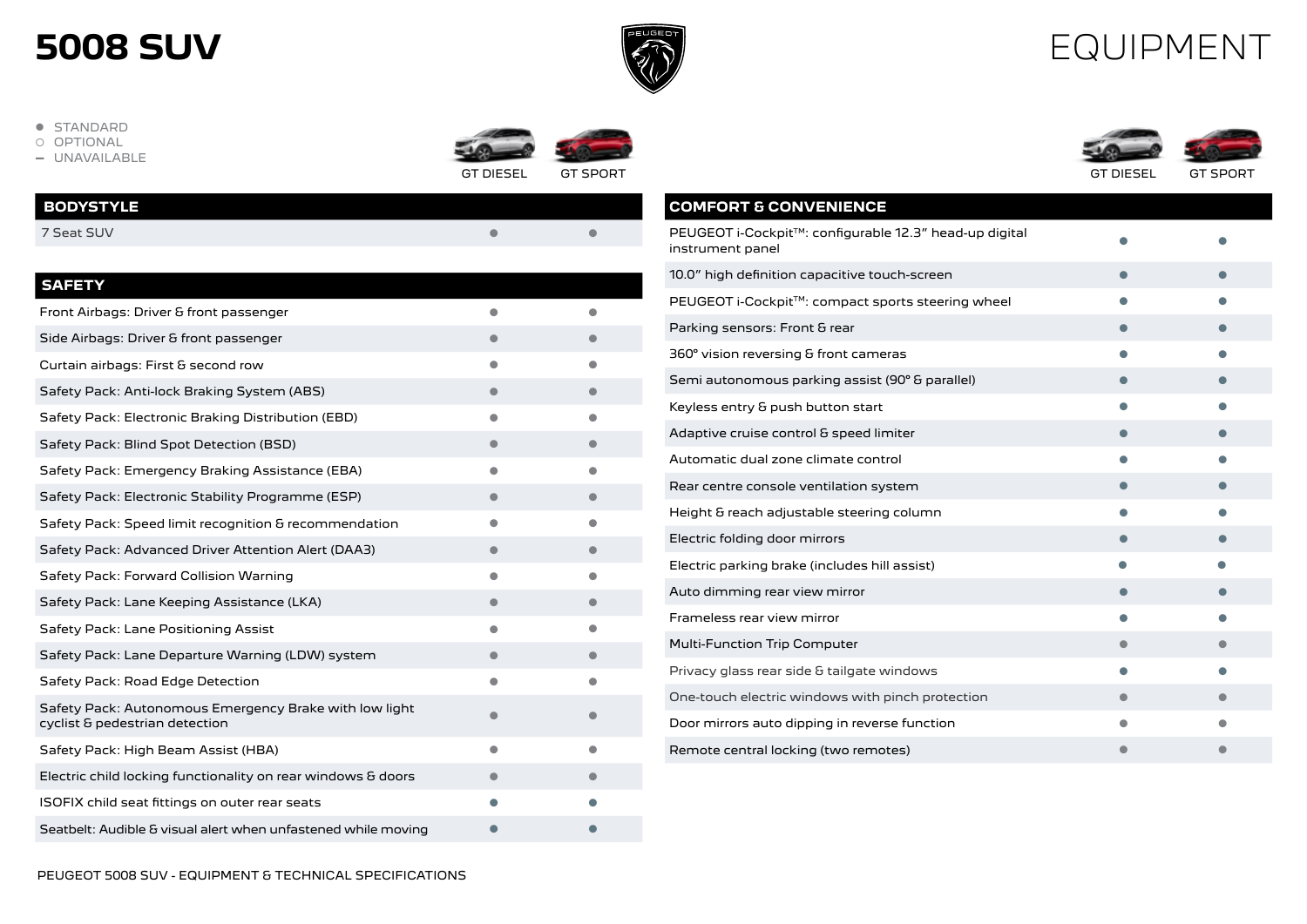

#### EQUIPMENT

- STANDARD<br>○ OPTIONAL
- 
- $-$  UNAVAILABLE







| <b>BODYSTYLE</b> |  |
|------------------|--|
| 7 Seat SUV       |  |
|                  |  |

|  | .,<br>L |  |  |  |  |
|--|---------|--|--|--|--|
|--|---------|--|--|--|--|

| SAFEI T                                                                                  |           |  |
|------------------------------------------------------------------------------------------|-----------|--|
| Front Airbags: Driver & front passenger                                                  |           |  |
| Side Airbags: Driver & front passenger                                                   |           |  |
| Curtain airbags: First & second row                                                      |           |  |
| Safety Pack: Anti-lock Braking System (ABS)                                              | $\bullet$ |  |
| Safety Pack: Electronic Braking Distribution (EBD)                                       | $\bullet$ |  |
| Safety Pack: Blind Spot Detection (BSD)                                                  |           |  |
| Safety Pack: Emergency Braking Assistance (EBA)                                          | $\bullet$ |  |
| Safety Pack: Electronic Stability Programme (ESP)                                        | $\bullet$ |  |
| Safety Pack: Speed limit recognition & recommendation                                    | $\bullet$ |  |
| Safety Pack: Advanced Driver Attention Alert (DAA3)                                      |           |  |
| Safety Pack: Forward Collision Warning                                                   |           |  |
| Safety Pack: Lane Keeping Assistance (LKA)                                               | $\bullet$ |  |
| Safety Pack: Lane Positioning Assist                                                     |           |  |
| Safety Pack: Lane Departure Warning (LDW) system                                         |           |  |
| Safety Pack: Road Edge Detection                                                         |           |  |
| Safety Pack: Autonomous Emergency Brake with low light<br>cyclist & pedestrian detection |           |  |
| Safety Pack: High Beam Assist (HBA)                                                      |           |  |
| Electric child locking functionality on rear windows & doors                             |           |  |
| ISOFIX child seat fittings on outer rear seats                                           |           |  |
| Seatbelt: Audible & visual alert when unfastened while moving                            |           |  |
|                                                                                          |           |  |

| <b>COMFORT &amp; CONVENIENCE</b>                                           |  |
|----------------------------------------------------------------------------|--|
| PEUGEOT i-Cockpit™: configurable 12.3" head-up digital<br>instrument panel |  |
| 10.0" high definition capacitive touch-screen                              |  |
| PEUGEOT i-Cockpit™: compact sports steering wheel                          |  |
| Parking sensors: Front & rear                                              |  |
| 360° vision reversing & front cameras                                      |  |
| Semi autonomous parking assist (90° & parallel)                            |  |
| Keyless entry & push button start                                          |  |
| Adaptive cruise control & speed limiter                                    |  |
| Automatic dual zone climate control                                        |  |
| Rear centre console ventilation system                                     |  |
| Height & reach adjustable steering column                                  |  |
| Electric folding door mirrors                                              |  |
| Electric parking brake (includes hill assist)                              |  |
| Auto dimming rear view mirror                                              |  |
| Frameless rear view mirror                                                 |  |
| <b>Multi-Function Trip Computer</b>                                        |  |
| Privacy glass rear side & tailgate windows                                 |  |
| One-touch electric windows with pinch protection                           |  |
| Door mirrors auto dipping in reverse function                              |  |
| Remote central locking (two remotes)                                       |  |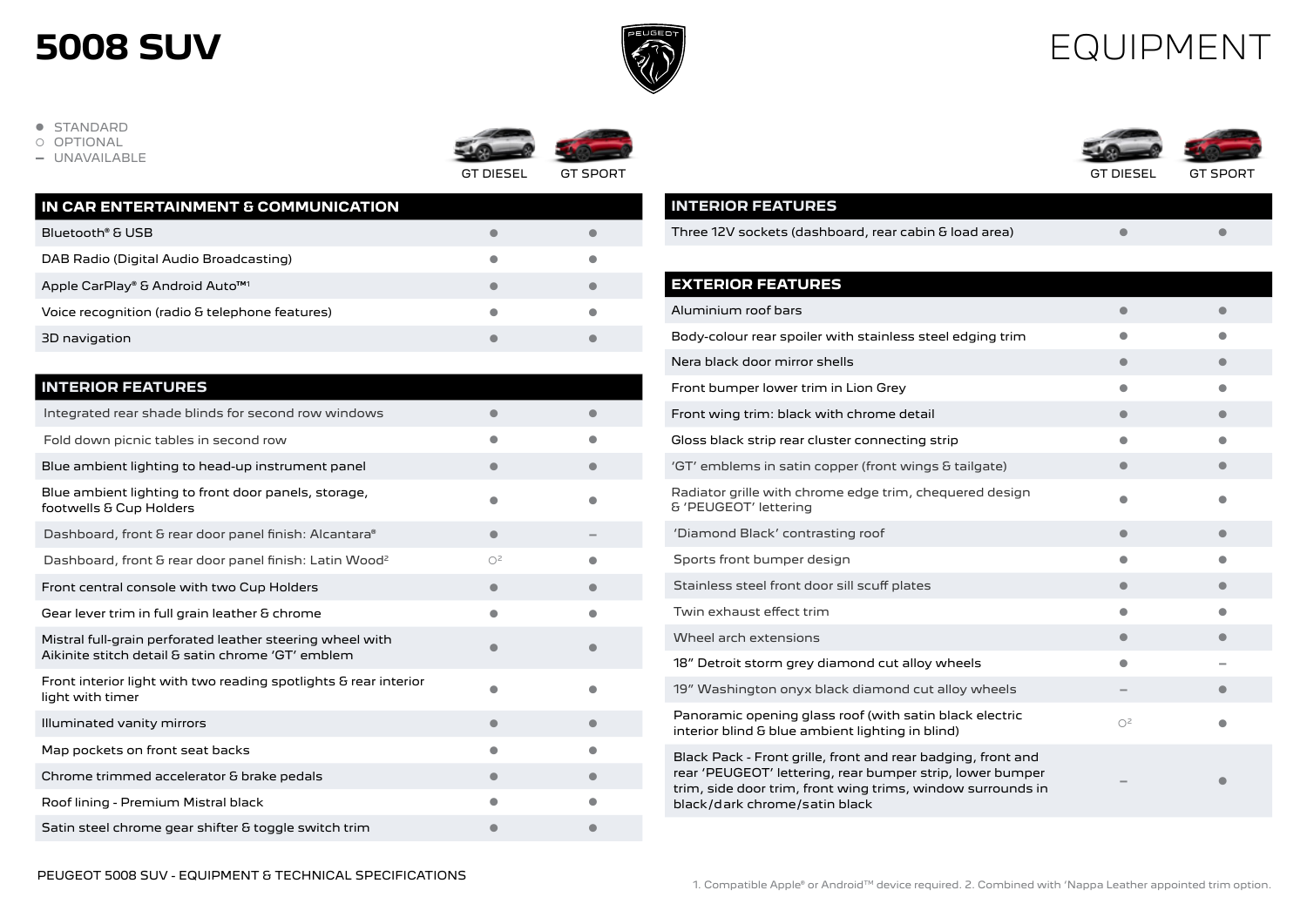

#### EQUIPMENT

**· STANDARD** 

OPTIONAL

**-** UNAVAILABLE



| IN CAR ENTERTAINMENT & COMMUNICATION           |  |
|------------------------------------------------|--|
| Bluetooth® & USB                               |  |
| DAB Radio (Digital Audio Broadcasting)         |  |
| Apple CarPlay® & Android Auto <sup>™1</sup>    |  |
| Voice recognition (radio & telephone features) |  |
| 3D navigation                                  |  |
|                                                |  |

| <b>INTERIOR FEATURES</b>                                                                                       |                |  |
|----------------------------------------------------------------------------------------------------------------|----------------|--|
| Integrated rear shade blinds for second row windows                                                            |                |  |
| Fold down picnic tables in second row                                                                          |                |  |
| Blue ambient lighting to head-up instrument panel                                                              | ۸              |  |
| Blue ambient lighting to front door panels, storage,<br>footwells & Cup Holders                                |                |  |
| Dashboard, front & rear door panel finish: Alcantara®                                                          | 0              |  |
| Dashboard, front & rear door panel finish: Latin Wood <sup>2</sup>                                             | O <sup>2</sup> |  |
| Front central console with two Cup Holders                                                                     |                |  |
| Gear lever trim in full grain leather & chrome                                                                 |                |  |
| Mistral full-grain perforated leather steering wheel with<br>Aikinite stitch detail & satin chrome 'GT' emblem |                |  |
| Front interior light with two reading spotlights & rear interior<br>light with timer                           |                |  |
| Illuminated vanity mirrors                                                                                     |                |  |
| Map pockets on front seat backs                                                                                |                |  |
| Chrome trimmed accelerator & brake pedals                                                                      | ●              |  |
| Roof lining - Premium Mistral black                                                                            |                |  |
| Satin steel chrome gear shifter & toggle switch trim                                                           |                |  |

GT DIESEL GT SPORT GT DIESEL GT SPORT

| <b>INTERIOR FEATURES</b>                                                                                                                                                                                                  |                |           |
|---------------------------------------------------------------------------------------------------------------------------------------------------------------------------------------------------------------------------|----------------|-----------|
| Three 12V sockets (dashboard, rear cabin & load area)                                                                                                                                                                     |                |           |
|                                                                                                                                                                                                                           |                |           |
| <b>EXTERIOR FEATURES</b>                                                                                                                                                                                                  |                |           |
| Aluminium roof bars                                                                                                                                                                                                       | ●              | $\bullet$ |
| Body-colour rear spoiler with stainless steel edging trim                                                                                                                                                                 |                |           |
| Nera black door mirror shells                                                                                                                                                                                             | o              | $\bullet$ |
| Front bumper lower trim in Lion Grey                                                                                                                                                                                      | O              | $\bullet$ |
| Front wing trim: black with chrome detail                                                                                                                                                                                 |                |           |
| Gloss black strip rear cluster connecting strip                                                                                                                                                                           |                |           |
| 'GT' emblems in satin copper (front wings & tailgate)                                                                                                                                                                     |                |           |
| Radiator grille with chrome edge trim, chequered design<br>& 'PEUGEOT' lettering                                                                                                                                          |                |           |
| 'Diamond Black' contrasting roof                                                                                                                                                                                          | $\bullet$      | 0         |
| Sports front bumper design                                                                                                                                                                                                | $\bullet$      | $\bullet$ |
| Stainless steel front door sill scuff plates                                                                                                                                                                              |                |           |
| Twin exhaust effect trim                                                                                                                                                                                                  |                |           |
| Wheel arch extensions                                                                                                                                                                                                     |                |           |
| 18" Detroit storm grey diamond cut alloy wheels                                                                                                                                                                           | O              |           |
| 19" Washington onyx black diamond cut alloy wheels                                                                                                                                                                        |                |           |
| Panoramic opening glass roof (with satin black electric<br>interior blind & blue ambient lighting in blind)                                                                                                               | Ο <sup>2</sup> |           |
| Black Pack - Front grille, front and rear badging, front and<br>rear 'PEUGEOT' lettering, rear bumper strip, lower bumper<br>trim, side door trim, front wing trims, window surrounds in<br>black/dark chrome/satin black |                |           |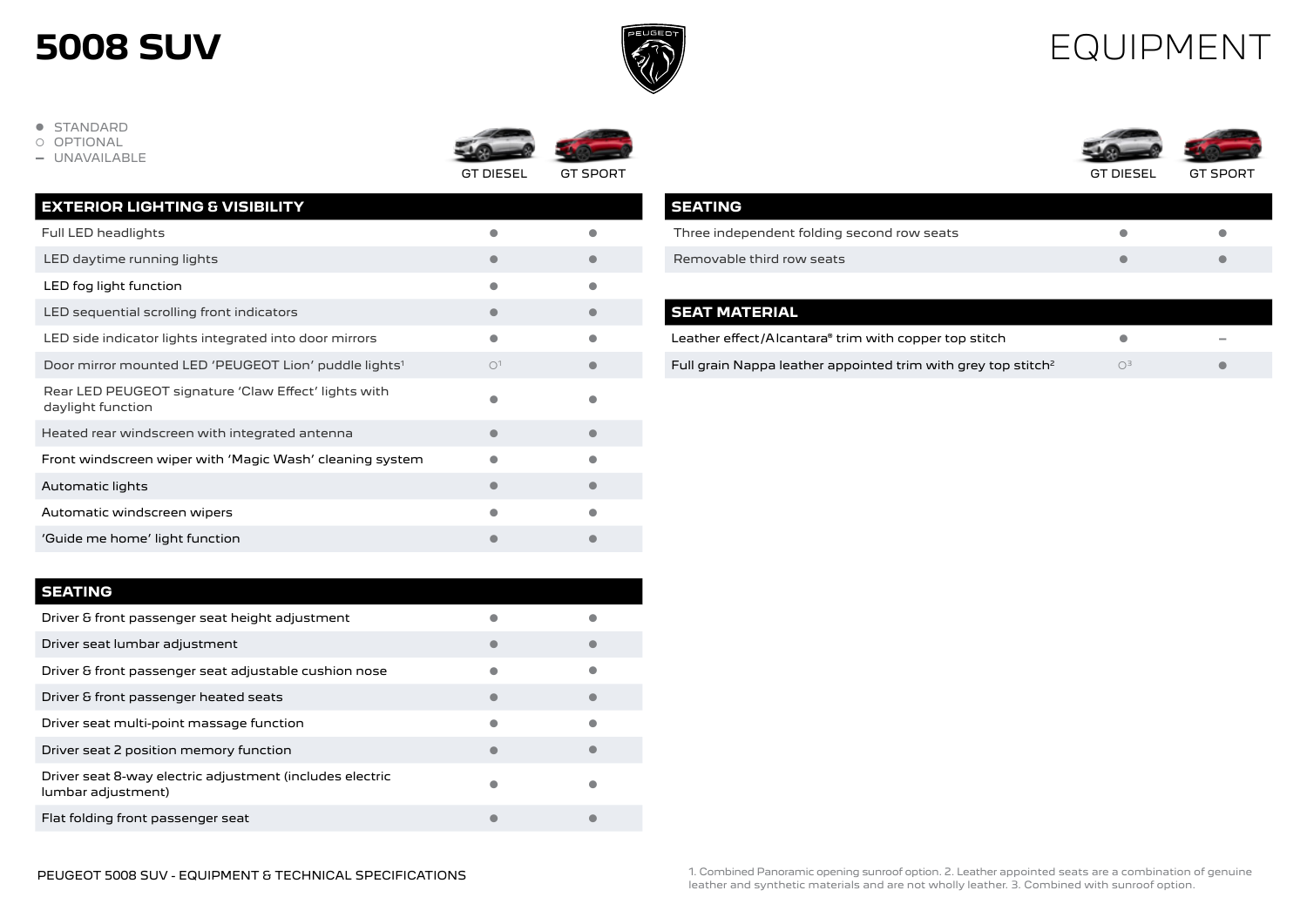

#### EQUIPMENT

- **.** STANDARD
- OPTIONAL
- **-** UNAVAILABLE





| <b>EXTERIOR LIGHTING &amp; VISIBILITY</b>                                 |                |  |
|---------------------------------------------------------------------------|----------------|--|
| Full LED headlights                                                       |                |  |
| LED daytime running lights                                                |                |  |
| LED fog light function                                                    |                |  |
| LED sequential scrolling front indicators                                 |                |  |
| LED side indicator lights integrated into door mirrors                    |                |  |
| Door mirror mounted LED 'PEUGEOT Lion' puddle lights <sup>1</sup>         | O <sup>1</sup> |  |
| Rear LED PEUGEOT signature 'Claw Effect' lights with<br>daylight function |                |  |
| Heated rear windscreen with integrated antenna                            |                |  |
| Front windscreen wiper with 'Magic Wash' cleaning system                  |                |  |
| Automatic lights                                                          |                |  |
| Automatic windscreen wipers                                               |                |  |
| 'Guide me home' light function                                            |                |  |

|  | TIN( |  |
|--|------|--|
|  |      |  |

| ------                                                                         |           |  |
|--------------------------------------------------------------------------------|-----------|--|
| Driver & front passenger seat height adjustment                                |           |  |
| Driver seat lumbar adjustment                                                  | O         |  |
| Driver & front passenger seat adjustable cushion nose                          | $\bullet$ |  |
| Driver & front passenger heated seats                                          | e         |  |
| Driver seat multi-point massage function                                       | 0         |  |
| Driver seat 2 position memory function                                         |           |  |
| Driver seat 8-way electric adjustment (includes electric<br>lumbar adjustment) | ۸         |  |
| Flat folding front passenger seat                                              |           |  |
|                                                                                |           |  |

| <b>SEATING</b>                             |  |
|--------------------------------------------|--|
| Three independent folding second row seats |  |
| Removable third row seats                  |  |

| <b>SEAT MATERIAL</b>                                                      |                   |        |
|---------------------------------------------------------------------------|-------------------|--------|
| Leather effect/Alcantara® trim with copper top stitch                     |                   | $\sim$ |
| Full grain Nappa leather appointed trim with grey top stitch <sup>2</sup> | $\bigcap_{i=1}^n$ |        |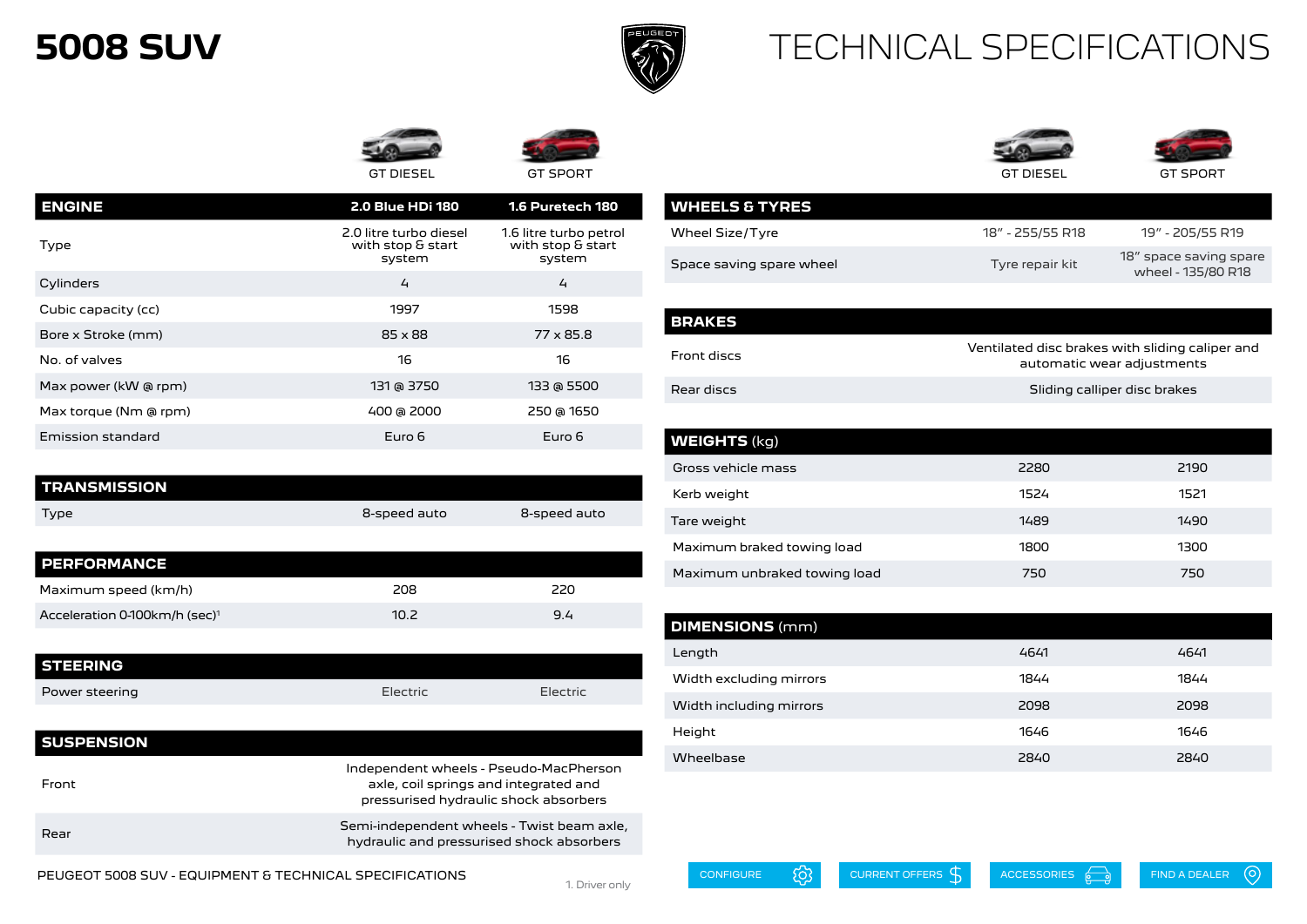

**WHEELS & TYRES**

#### TECHNICAL SPECIFICATIONS





| <b>ENGINE</b>         | <b>2.0 Blue HDi 180</b>                               | 1.6 Puretech 180                                      |
|-----------------------|-------------------------------------------------------|-------------------------------------------------------|
| Type                  | 2.0 litre turbo diesel<br>with stop & start<br>system | 1.6 litre turbo petrol<br>with stop & start<br>system |
| Cylinders             | 4                                                     | $\overline{4}$                                        |
| Cubic capacity (cc)   | 1997                                                  | 1598                                                  |
| Bore x Stroke (mm)    | $85 \times 88$                                        | 77 x 85.8                                             |
| No. of valves         | 16                                                    | 16                                                    |
| Max power (kW @ rpm)  | 131 @ 3750                                            | 133 @ 5500                                            |
| Max torque (Nm @ rpm) | 400 @ 2000                                            | 250 @ 1650                                            |
| Emission standard     | Euro 6                                                | Euro 6                                                |
|                       |                                                       |                                                       |

| <b>TRANSMISSION</b> |              |              |
|---------------------|--------------|--------------|
| Type                | 8-speed auto | 8-speed auto |

| <b>PERFORMANCE</b>                        |      |     |
|-------------------------------------------|------|-----|
| Maximum speed (km/h)                      | 208  | 220 |
| Acceleration 0-100km/h (sec) <sup>1</sup> | 10.2 | 9.4 |

| <b>STEERING</b> |          |          |
|-----------------|----------|----------|
| Power steering  | Electric | Electric |

| <b>SUSPENSION</b> |                                                                                                                          |
|-------------------|--------------------------------------------------------------------------------------------------------------------------|
| Front             | Independent wheels - Pseudo-MacPherson<br>axle, coil springs and integrated and<br>pressurised hydraulic shock absorbers |
| Rear              | Semi-independent wheels - Twist beam axle,<br>hydraulic and pressurised shock absorbers                                  |

PEUGEOT 5008 SUV - EQUIPMENT & TECHNICAL SPECIFICATIONS

| Wheel Size/Tyre          | 18" - 255/55 R18 | 19" - 205/55 R19                             |
|--------------------------|------------------|----------------------------------------------|
| Space saving spare wheel | Tyre repair kit  | 18" space saving spare<br>wheel - 135/80 R18 |
|                          |                  |                                              |

| BRAKES      |                                                                               |
|-------------|-------------------------------------------------------------------------------|
| Front discs | Ventilated disc brakes with sliding caliper and<br>automatic wear adjustments |
| Rear discs  | Sliding calliper disc brakes                                                  |

| <b>WEIGHTS (kg)</b>          |      |      |
|------------------------------|------|------|
| Gross vehicle mass           | 2280 | 2190 |
| Kerb weight                  | 1524 | 1521 |
| Tare weight                  | 1489 | 1490 |
| Maximum braked towing load   | 1800 | 1300 |
| Maximum unbraked towing load | 750  | 750  |

| <b>DIMENSIONS</b> (mm)  |      |      |
|-------------------------|------|------|
| Length                  | 4641 | 4641 |
| Width excluding mirrors | 1844 | 1844 |
| Width including mirrors | 2098 | 2098 |
| Height                  | 1646 | 1646 |
| Wheelbase               | 2840 | 2840 |

1. Driver only

 $\odot$